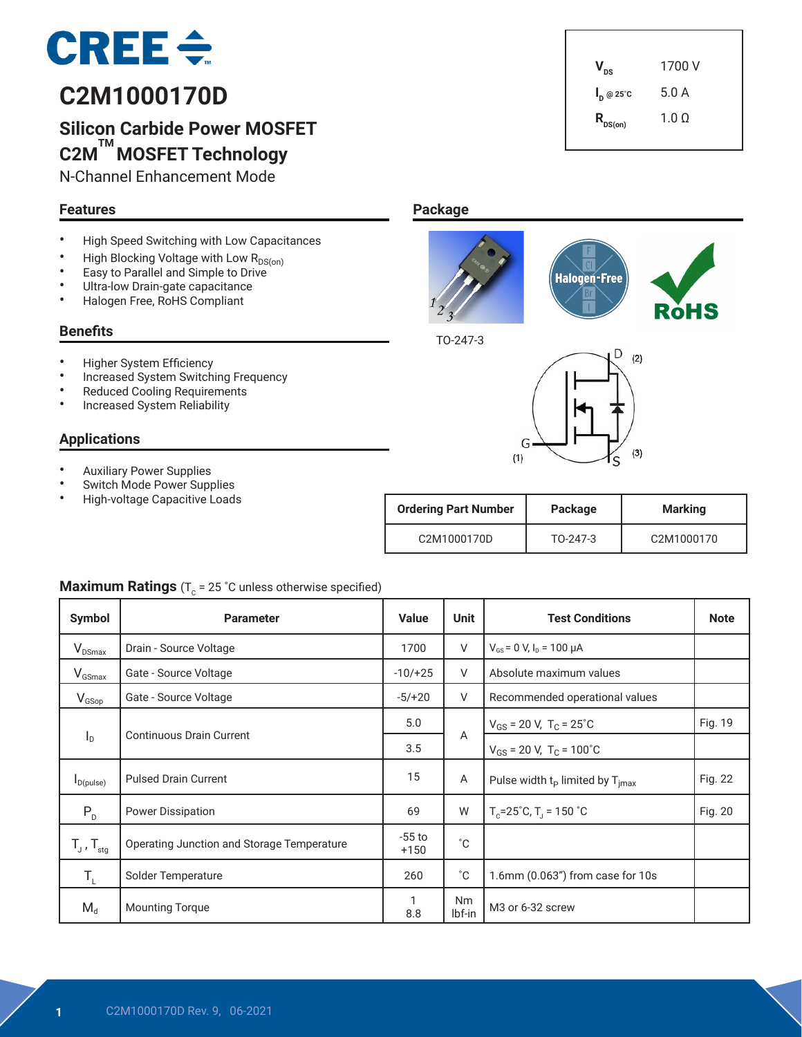

# **C2M1000170D**

## **Silicon Carbide Power MOSFET C2M TM MOSFET Technology**

N-Channel Enhancement Mode

#### **Features**

- High Speed Switching with Low Capacitances
- High Blocking Voltage with Low  $R_{DS(on)}$ <br>• Easy to Parallel and Simple to Drive
- Easy to Parallel and Simple to Drive
- Ultra-low Drain-gate capacitance
- Halogen Free, RoHS Compliant

#### **Benefits**

- Higher System Efficiency
- Increased System Switching Frequency
- Reduced Cooling Requirements
- Increased System Reliability

#### **Applications**

- Auxiliary Power Supplies
- Switch Mode Power Supplies
- High-voltage Capacitive Loads

| <b>Ordering Part Number</b>           | Package  | <b>Marking</b> |  |
|---------------------------------------|----------|----------------|--|
| C <sub>2</sub> M <sub>1000170</sub> D | TO-247-3 | C2M1000170     |  |

#### **Maximum Ratings** ( $T_c$  = 25 °C unless otherwise specified)

| Symbol                     | <b>Parameter</b>                           |                    | Unit                                                | <b>Test Conditions</b>                   | <b>Note</b> |
|----------------------------|--------------------------------------------|--------------------|-----------------------------------------------------|------------------------------------------|-------------|
| $V_{DSmax}$                | Drain - Source Voltage                     | 1700               | V                                                   | $V_{GS}$ = 0 V, $I_D$ = 100 $\mu$ A      |             |
| $V_{GSmax}$                | Gate - Source Voltage                      | $-10/+25$          | V                                                   | Absolute maximum values                  |             |
| $V_{GSop}$                 | Gate - Source Voltage                      | $-5/+20$           | V                                                   | Recommended operational values           |             |
|                            |                                            | 5.0                |                                                     | $V_{GS}$ = 20 V, T <sub>C</sub> = 25°C   | Fig. 19     |
| $I_{\rm D}$                | <b>Continuous Drain Current</b>            | 3.5                | A                                                   | $V_{GS}$ = 20 V, T <sub>C</sub> = 100°C  |             |
| $I_{D(pulse)}$             | <b>Pulsed Drain Current</b>                | 15                 | Α<br>Pulse width $t_p$ limited by $T_{\text{imax}}$ |                                          | Fig. 22     |
| $P_{D}$                    | <b>Power Dissipation</b>                   |                    | W                                                   | $T_c = 25^\circ C$ , $T_1 = 150^\circ C$ | Fig. 20     |
| $T_{J}$ , $T_{\text{stg}}$ | Operating Junction and Storage Temperature | $-55$ to<br>$+150$ | $^{\circ}C$                                         |                                          |             |
| Т,                         | Solder Temperature                         | 260                | $^{\circ}C$                                         | 1.6mm (0.063") from case for 10s         |             |
| $M_d$                      | <b>Mounting Torque</b>                     | 1<br>8.8           | <b>Nm</b><br>M <sub>3</sub> or 6-32 screw<br>lbf-in |                                          |             |

# $V_{\text{ns}}$  1700 V **I <sup>D</sup> @ 25˚C** 5.0 A  $R_{DS(on)}$  1.0 Ω

**Package**



TO-247-3

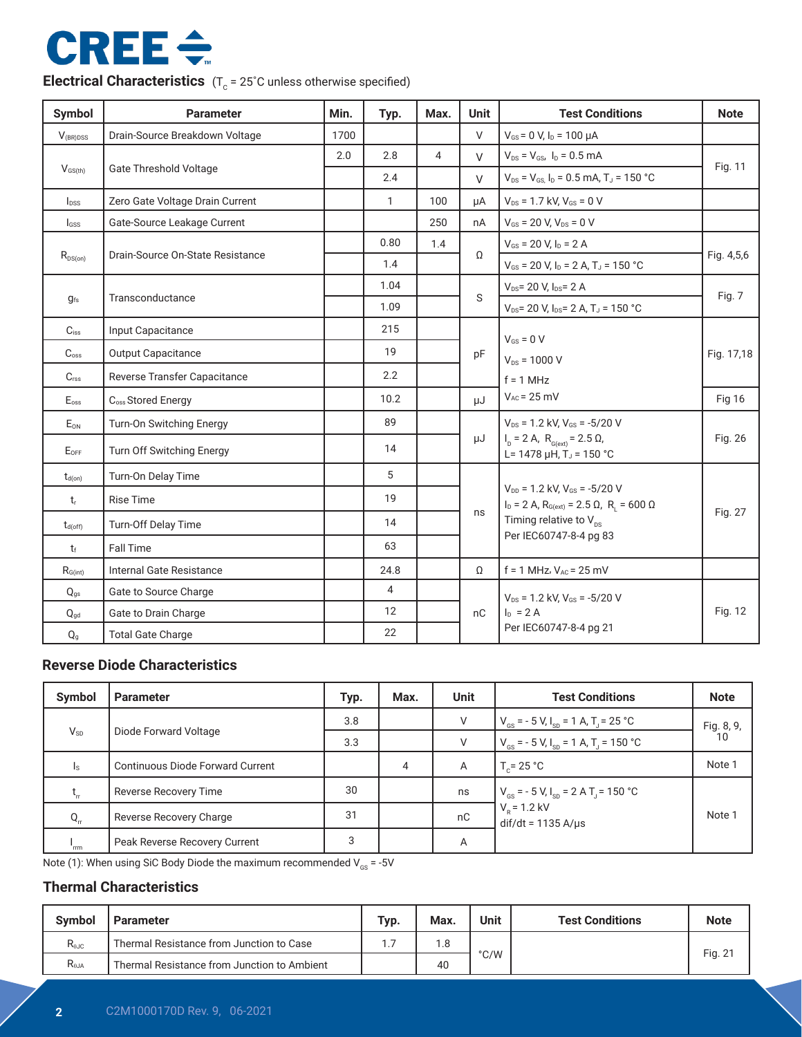# **CREE ÷**

**Electrical Characteristics**  $(T_c = 25^\circ C \text{ unless otherwise specified})$ 

| <b>Symbol</b>             | <b>Parameter</b>                 | Min. | Typ.         | Max.           | <b>Unit</b>  | <b>Test Conditions</b>                                                                                                                         | <b>Note</b>   |  |
|---------------------------|----------------------------------|------|--------------|----------------|--------------|------------------------------------------------------------------------------------------------------------------------------------------------|---------------|--|
| $V_{(BR)DSS}$             | Drain-Source Breakdown Voltage   | 1700 |              |                | $\vee$       | $V_{GS}$ = 0 V, $I_D$ = 100 $\mu$ A                                                                                                            |               |  |
|                           |                                  | 2.0  | 2.8          | $\overline{4}$ | $\vee$       | $V_{DS} = V_{GS}$ , $I_D = 0.5$ mA                                                                                                             |               |  |
| $V_{GS(th)}$              | <b>Gate Threshold Voltage</b>    |      | 2.4          |                | $\vee$       | $V_{DS}$ = $V_{GS}$ , $I_D$ = 0.5 mA, T <sub>J</sub> = 150 °C                                                                                  | Fig. 11       |  |
| $I_{DSS}$                 | Zero Gate Voltage Drain Current  |      | $\mathbf{1}$ | 100            | uA           | $V_{DS}$ = 1.7 kV, $V_{GS}$ = 0 V                                                                                                              |               |  |
| $I_{GSS}$                 | Gate-Source Leakage Current      |      |              | 250            | nA           | $V_{GS}$ = 20 V, $V_{DS}$ = 0 V                                                                                                                |               |  |
|                           |                                  |      | 0.80         | 1.4            |              | $V_{GS}$ = 20 V, $I_D$ = 2 A                                                                                                                   |               |  |
| $R_{\text{DS}(on)}$       | Drain-Source On-State Resistance |      | 1.4          |                | Ω            | $V_{GS}$ = 20 V, I <sub>D</sub> = 2 A, T <sub>J</sub> = 150 °C                                                                                 | Fig. 4,5,6    |  |
|                           |                                  |      | 1.04         |                | <sub>S</sub> | $V_{DS}$ = 20 V, $I_{DS}$ = 2 A                                                                                                                |               |  |
| $g_{fs}$                  | Transconductance                 |      | 1.09         |                |              | $V_{DS}$ = 20 V, I <sub>DS</sub> = 2 A, T <sub>J</sub> = 150 °C                                                                                | Fig. 7        |  |
| $C_{iss}$                 | Input Capacitance                |      | 215          |                |              | $V_{GS} = 0 V$                                                                                                                                 | Fig. 17,18    |  |
| $C_{\rm oss}$             | Output Capacitance               |      | 19           |                | pF           | $V_{DS} = 1000 V$                                                                                                                              |               |  |
| $C_{\text{rss}}$          | Reverse Transfer Capacitance     |      | 2.2          |                |              | $f = 1$ MHz                                                                                                                                    |               |  |
| $\mathsf{E}_{\text{oss}}$ | C <sub>oss</sub> Stored Energy   |      | 10.2         |                | μJ           | $V_{AC} = 25$ mV                                                                                                                               | <b>Fig 16</b> |  |
| E <sub>ON</sub>           | Turn-On Switching Energy         |      | 89           |                |              | $V_{DS}$ = 1.2 kV, $V_{GS}$ = -5/20 V                                                                                                          | Fig. 26       |  |
| $E_{OFF}$                 | Turn Off Switching Energy        |      | 14           |                | μJ           | $I_D = 2 A$ , $R_{G(ext)} = 2.5 \Omega$ ,<br>L= 1478 $\mu$ H, T <sub>J</sub> = 150 °C                                                          |               |  |
| $t_{d(on)}$               | Turn-On Delay Time               |      | 5            |                |              |                                                                                                                                                |               |  |
| $t_{r}$                   | <b>Rise Time</b>                 |      | 19           |                |              | $V_{DD}$ = 1.2 kV, $V_{GS}$ = -5/20 V<br>$ID$ = 2 A, R <sub>G(ext)</sub> = 2.5 Ω, R <sub>1</sub> = 600 Ω<br>Timing relative to $V_{\text{ns}}$ | Fig. 27       |  |
| $t_{d(off)}$              | Turn-Off Delay Time              |      | 14           |                | ns           |                                                                                                                                                |               |  |
| $t_{\rm f}$               | <b>Fall Time</b>                 |      | 63           |                |              | Per IEC60747-8-4 pg 83                                                                                                                         |               |  |
| $R_{G(int)}$              | Internal Gate Resistance         |      | 24.8         |                | Ω            | $f = 1$ MHz, $V_{AC} = 25$ mV                                                                                                                  |               |  |
| $Q_{qs}$                  | Gate to Source Charge            |      | 4            |                |              | $V_{DS}$ = 1.2 kV, $V_{GS}$ = -5/20 V                                                                                                          |               |  |
| $Q_{gd}$                  | Gate to Drain Charge             |      | 12           |                | nC           | $I_D = 2A$                                                                                                                                     | Fig. 12       |  |
| $Q_{g}$                   | <b>Total Gate Charge</b>         |      | 22           |                |              | Per IEC60747-8-4 pg 21                                                                                                                         |               |  |

#### **Reverse Diode Characteristics**

| <b>Symbol</b>  | <b>Parameter</b>                        | Typ. | Max. | <b>Unit</b> | <b>Test Conditions</b>                                                 | <b>Note</b>      |  |
|----------------|-----------------------------------------|------|------|-------------|------------------------------------------------------------------------|------------------|--|
|                |                                         | 3.8  |      | V           | $V_{\text{GS}}$ = - 5 V, $I_{\text{SD}}$ = 1 A, T <sub>J</sub> = 25 °C | Fig. 8, 9,<br>10 |  |
| $V_{SD}$       | Diode Forward Voltage                   | 3.3  |      | V           | $V_{\text{cs}} = -5 V, I_{\text{sn}} = 1 A, T = 150 °C$                |                  |  |
| I <sub>S</sub> | <b>Continuous Diode Forward Current</b> |      | 4    | Α           | $T_c = 25 °C$                                                          | Note 1           |  |
| $t_{\rm r}$    | <b>Reverse Recovery Time</b>            | 30   |      | ns          | $V_{\text{cs}}$ = - 5 V, $I_{\text{sn}}$ = 2 A T <sub>1</sub> = 150 °C |                  |  |
| $Q_{rr}$       | Reverse Recovery Charge                 | 31   |      | nC          | $V_p = 1.2$ kV<br>$dif/dt = 1135 A/\mu s$                              | Note 1           |  |
| 'rm            | Peak Reverse Recovery Current           | 3    |      | Α           |                                                                        |                  |  |

Note (1): When using SiC Body Diode the maximum recommended  $V_{gs} = -5V$ 

#### **Thermal Characteristics**

| Svmbol         | <b>Parameter</b>                            | Typ. | Max. | Unit | <b>Test Conditions</b> | <b>Note</b> |
|----------------|---------------------------------------------|------|------|------|------------------------|-------------|
| $R_{0JC}$      | Thermal Resistance from Junction to Case    |      | 1.8  |      |                        | Fig. 21     |
| $R_{\theta$ JA | Thermal Resistance from Junction to Ambient |      | 40   | °C/W |                        |             |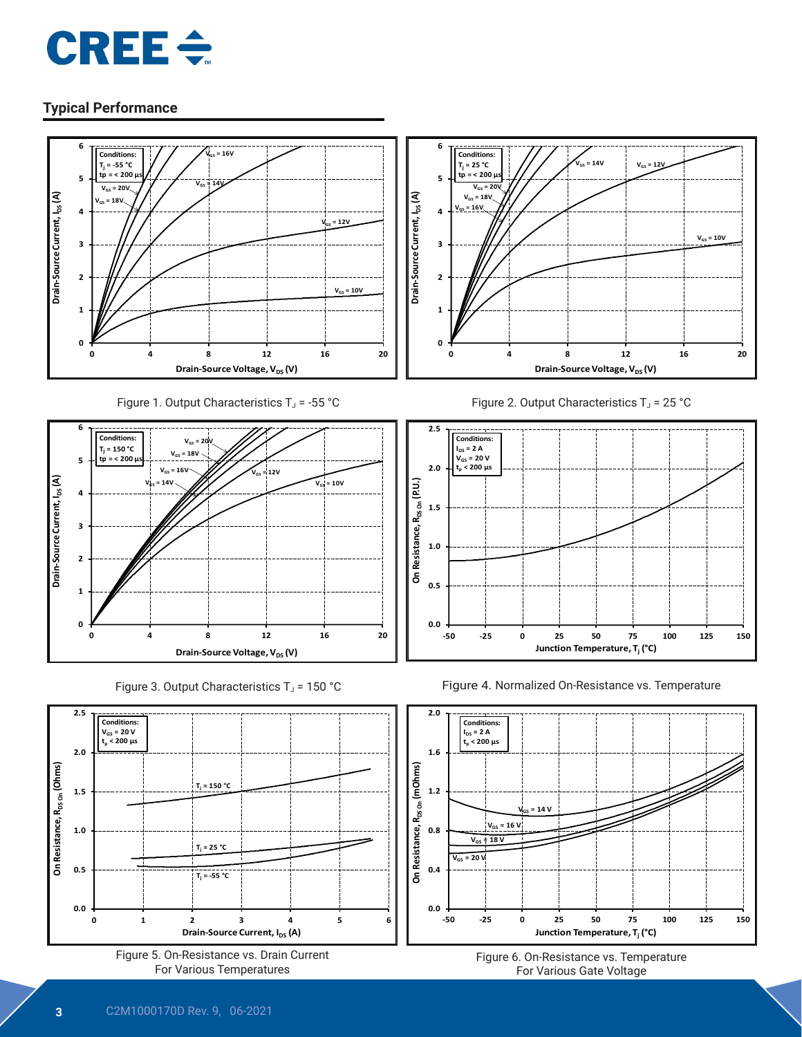





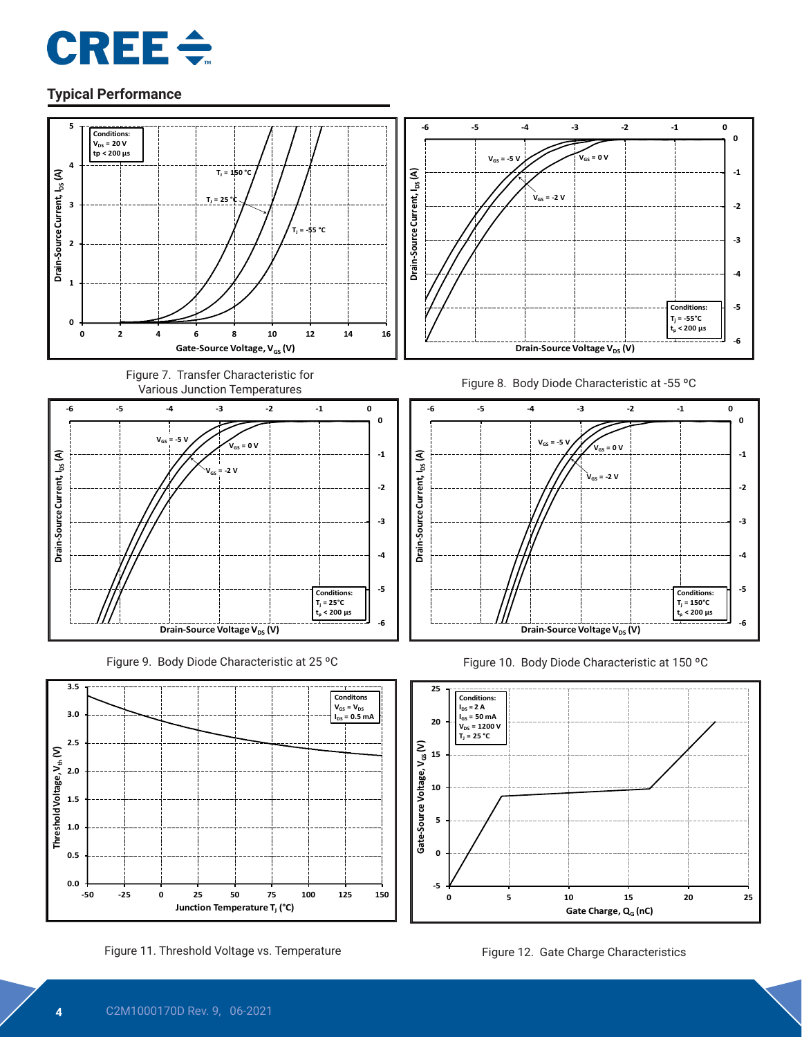



**-5**



**-50 -25 0 25 50 75 100 125 150**

**Junction Temperature T<sub>J</sub> (°C)** 

**0 5 10 15 20 25**

Gate Charge, Q<sub>G</sub> (nC)

**0.0**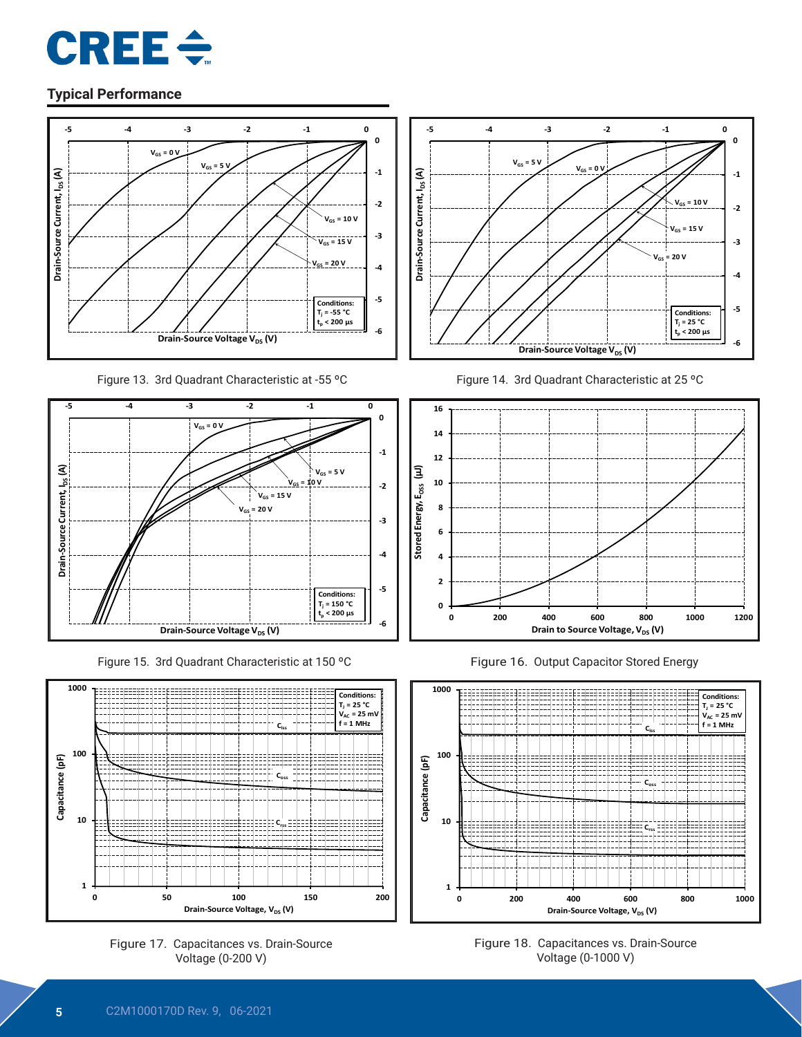





Figure 15. 3rd Quadrant Characteristic at 150 °C Figure 16. Output Capacitor Stored Energy







Figure 13. 3rd Quadrant Characteristic at -55 °C Figure 14. 3rd Quadrant Characteristic at 25 °C





Figure 18. Capacitances vs. Drain-Source Voltage (0-1000 V)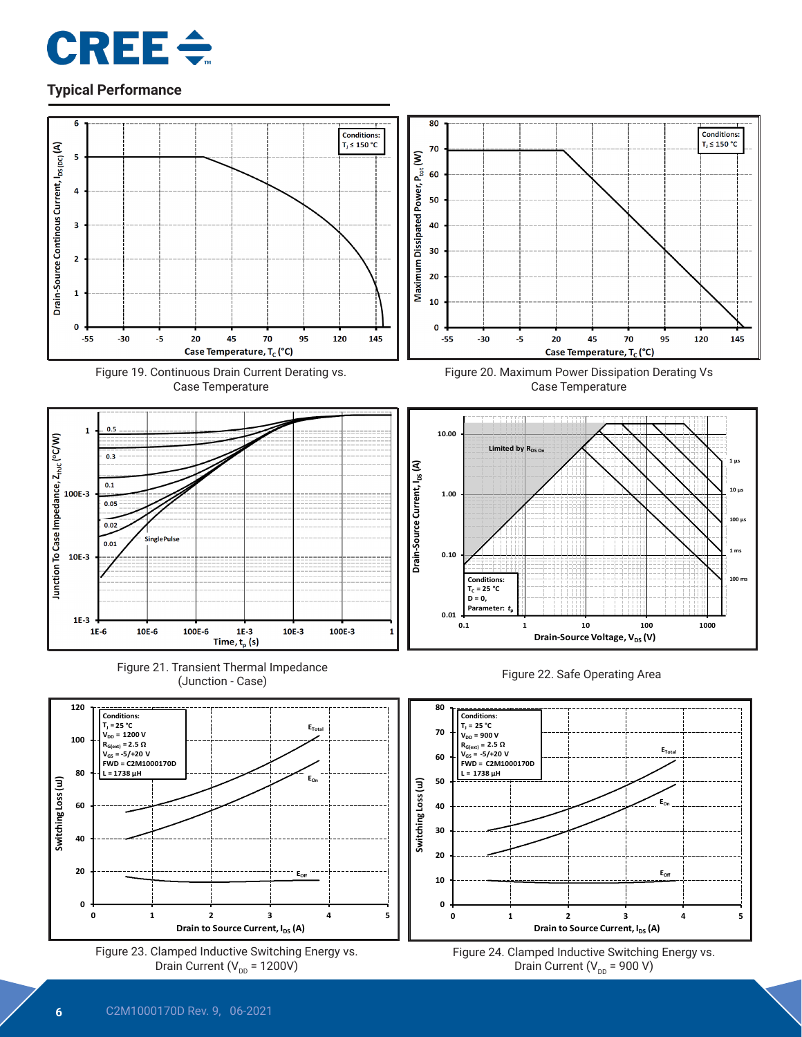











Figure 23. Clamped Inductive Switching Energy vs. Drain Current ( $V_{DD}$  = 1200V)



Figure 20. Maximum Power Dissipation Derating Vs Case Temperature







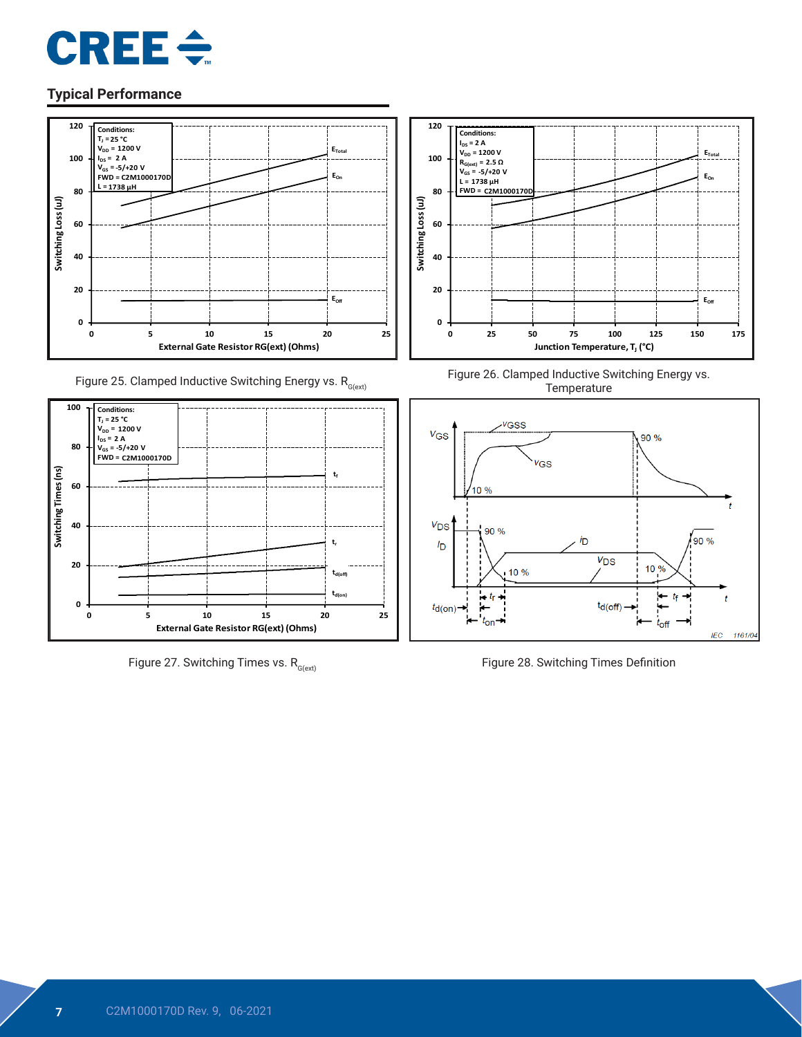



Figure 25. Clamped Inductive Switching Energy vs.  $R_{G(\text{ext})}$ 



Figure 27. Switching Times vs.  $R_{G(ex)}$  Figure 28. Switching Times Definition



Figure 26. Clamped Inductive Switching Energy vs. Temperature

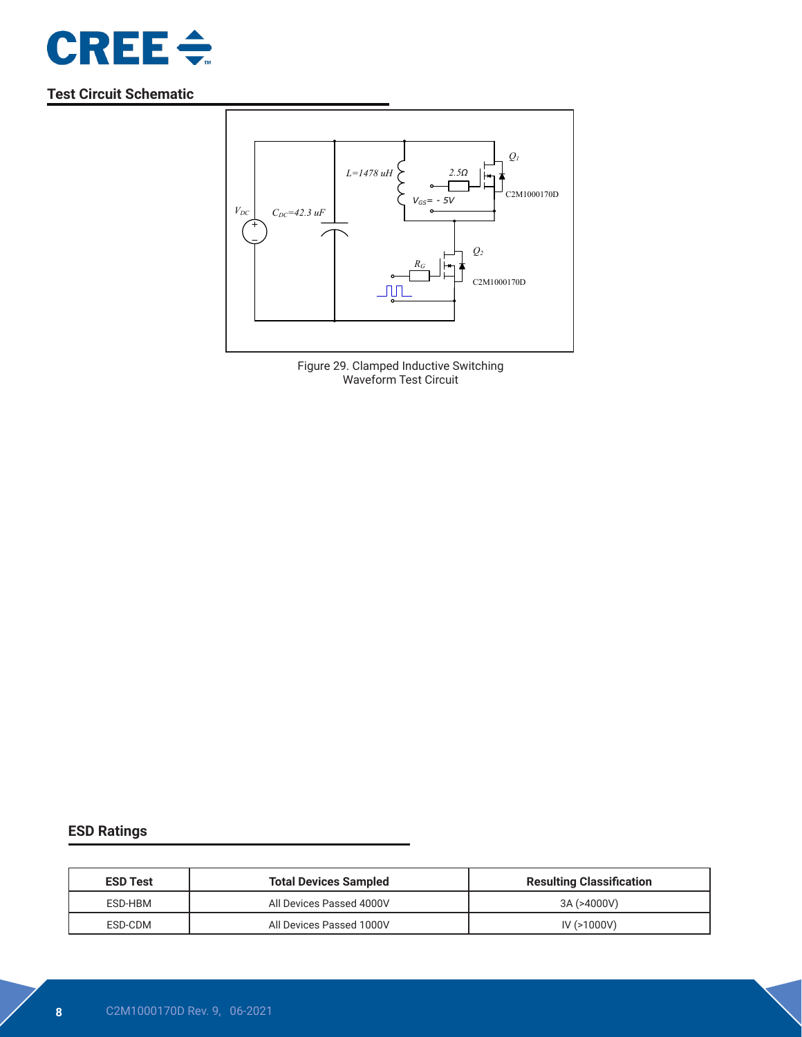

#### **Test Circuit Schematic**



Figure 29. Clamped Inductive Switching Waveform Test Circuit

#### **ESD Ratings**

| <b>ESD Test</b> | <b>Total Devices Sampled</b> | <b>Resulting Classification</b> |  |
|-----------------|------------------------------|---------------------------------|--|
| ESD-HBM         | All Devices Passed 4000V     | 3A (>4000V)                     |  |
| ESD-CDM         | All Devices Passed 1000V     | $IV (>=1000V)$                  |  |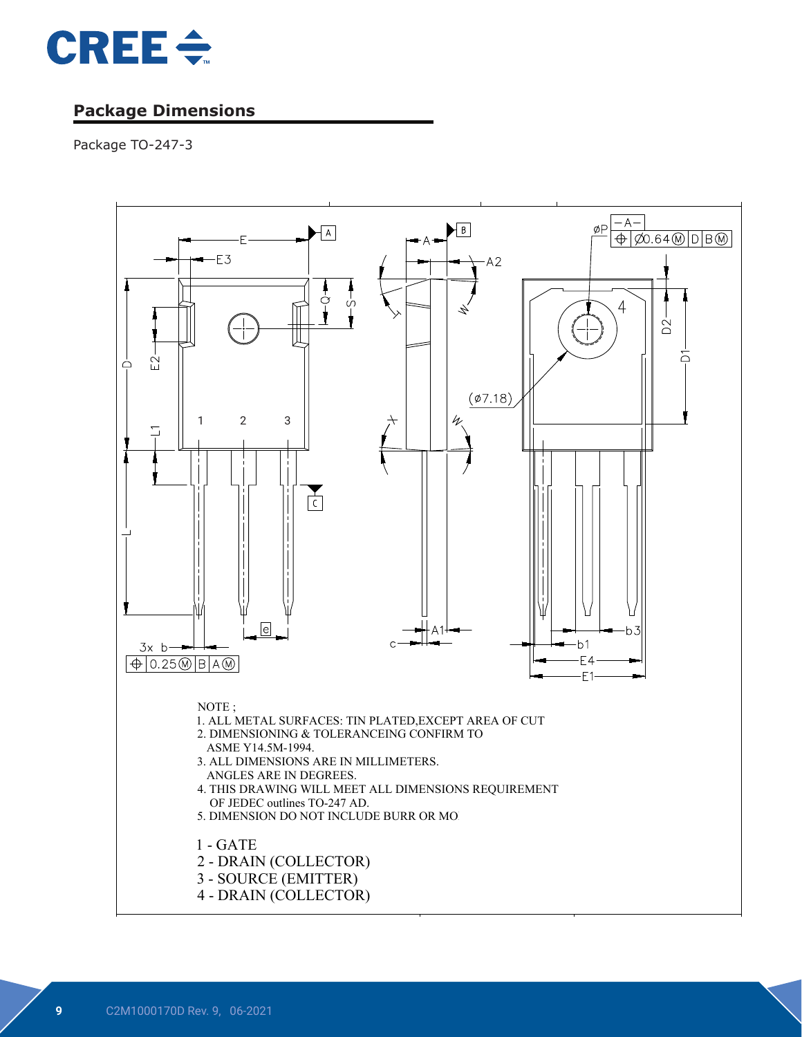

### **Package Dimensions**

Package TO-247-3

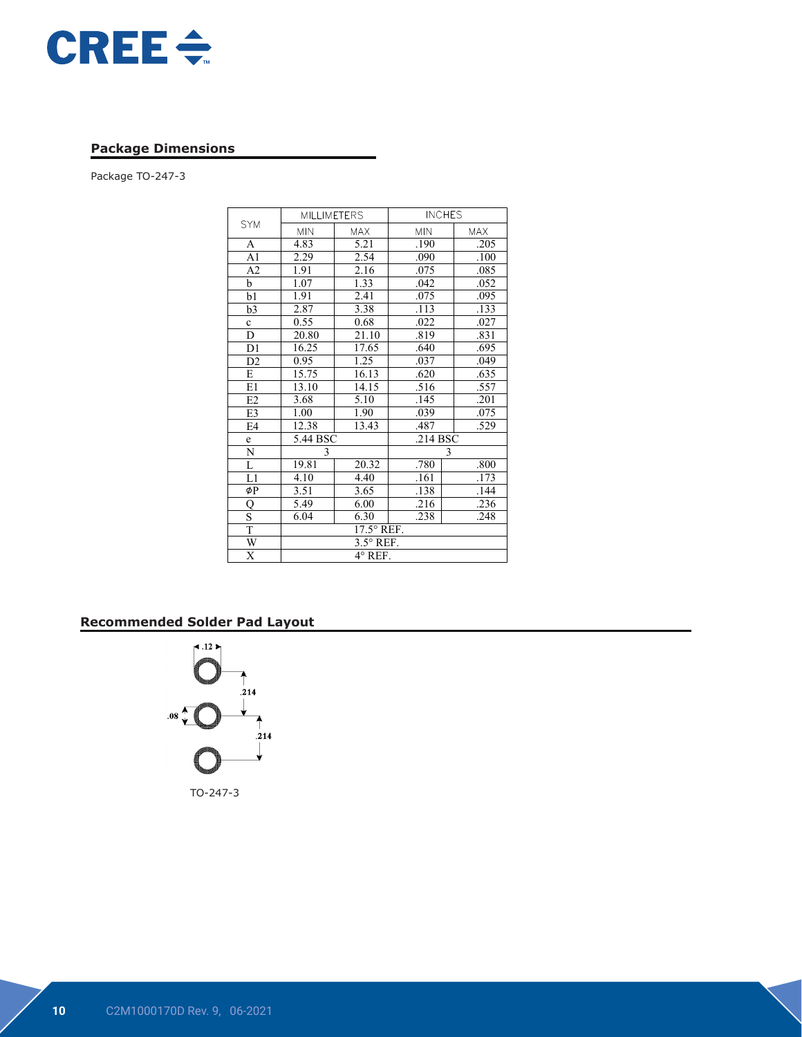

#### **Package Dimensions**

Package TO-247-3

|                         | <b>MILLIMETERS</b> |            | <b>INCHES</b> |            |  |
|-------------------------|--------------------|------------|---------------|------------|--|
| <b>SYM</b>              | <b>MIN</b>         | <b>MAX</b> | <b>MIN</b>    | <b>MAX</b> |  |
| A                       | 4.83               | 5.21       | .190          | .205       |  |
| A1                      | 2.29               | 2.54       | .090          | .100       |  |
| A <sub>2</sub>          | 1.91               | 2.16       | .075          | .085       |  |
| b                       | 1.07               | 1.33       | .042          | .052       |  |
| b1                      | 1.91               | 2.41       | .075          | .095       |  |
| b3                      | 2.87               | 3.38       | .113          | .133       |  |
| $\mathbf c$             | 0.55               | 0.68       | .022          | .027       |  |
| D                       | 20.80              | 21.10      | .819          | .831       |  |
| D1                      | 16.25              | 17.65      | .640          | .695       |  |
| D <sub>2</sub>          | 0.95               | 1.25       | .037          | .049       |  |
| E                       | 15.75              | 16.13      | .620          | .635       |  |
| E1                      | 13.10              | 14.15      | .516          | .557       |  |
| E2                      | 3.68               | 5.10       | .145          | .201       |  |
| E3                      | 1.00               | 1.90       | .039          | .075       |  |
| E4                      | 12.38              | 13.43      | .487          | .529       |  |
| e                       | 5.44 BSC           |            | $.214$ BSC    |            |  |
| N                       | 3                  |            |               | 3          |  |
| $\overline{\mathbf{L}}$ | 19.81              | 20.32      | .780          | .800       |  |
| L1                      | 4.10               | 4.40       | .161          | .173       |  |
| øΡ                      | 3.51               | 3.65       | .138          |            |  |
| Q                       | 5.49               | 6.00       | .216          | .236       |  |
| S                       | 6.04               | 6.30       | .238          | .248       |  |
| $\overline{T}$          | 17.5° REF.         |            |               |            |  |
| W                       | $3.5^\circ$ REF.   |            |               |            |  |
| $\overline{\mathrm{x}}$ | $4^\circ$ REF.     |            |               |            |  |

COMPANY *ASE WEIHAI*

#### **Recommended Solder Pad Layout**